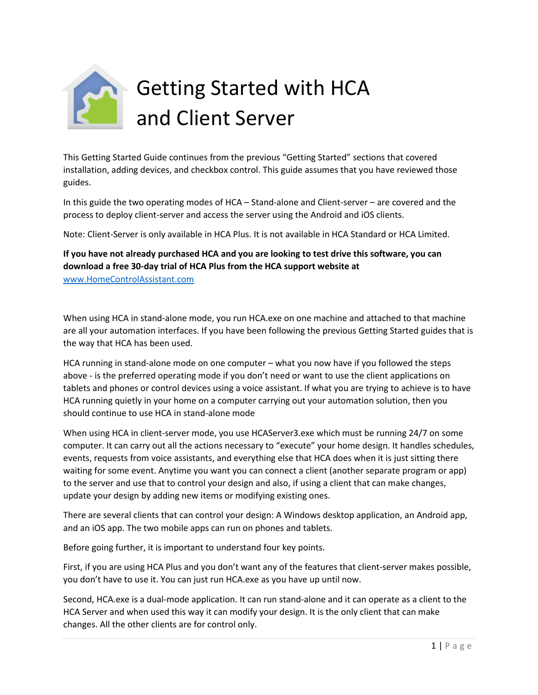

This Getting Started Guide continues from the previous "Getting Started" sections that covered installation, adding devices, and checkbox control. This guide assumes that you have reviewed those guides.

In this guide the two operating modes of HCA – Stand-alone and Client-server – are covered and the process to deploy client-server and access the server using the Android and iOS clients.

Note: Client-Server is only available in HCA Plus. It is not available in HCA Standard or HCA Limited.

#### **If you have not already purchased HCA and you are looking to test drive this software, you can download a free 30-day trial of HCA Plus from the HCA support website at**  [www.HomeControlAssistant.com](http://www.homecontrolassistant.com/)

When using HCA in stand-alone mode, you run HCA.exe on one machine and attached to that machine are all your automation interfaces. If you have been following the previous Getting Started guides that is the way that HCA has been used.

HCA running in stand-alone mode on one computer – what you now have if you followed the steps above - is the preferred operating mode if you don't need or want to use the client applications on tablets and phones or control devices using a voice assistant. If what you are trying to achieve is to have HCA running quietly in your home on a computer carrying out your automation solution, then you should continue to use HCA in stand-alone mode

When using HCA in client-server mode, you use HCAServer3.exe which must be running 24/7 on some computer. It can carry out all the actions necessary to "execute" your home design. It handles schedules, events, requests from voice assistants, and everything else that HCA does when it is just sitting there waiting for some event. Anytime you want you can connect a client (another separate program or app) to the server and use that to control your design and also, if using a client that can make changes, update your design by adding new items or modifying existing ones.

There are several clients that can control your design: A Windows desktop application, an Android app, and an iOS app. The two mobile apps can run on phones and tablets.

Before going further, it is important to understand four key points.

First, if you are using HCA Plus and you don't want any of the features that client-server makes possible, you don't have to use it. You can just run HCA.exe as you have up until now.

Second, HCA.exe is a dual-mode application. It can run stand-alone and it can operate as a client to the HCA Server and when used this way it can modify your design. It is the only client that can make changes. All the other clients are for control only.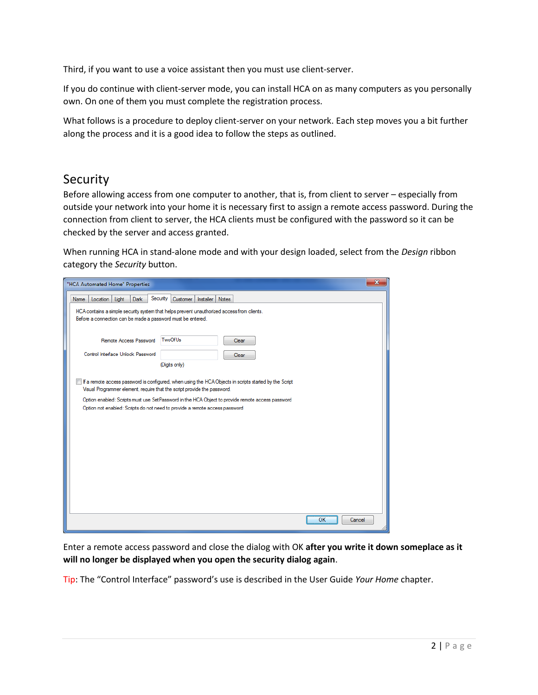Third, if you want to use a voice assistant then you must use client-server.

If you do continue with client-server mode, you can install HCA on as many computers as you personally own. On one of them you must complete the registration process.

What follows is a procedure to deploy client-server on your network. Each step moves you a bit further along the process and it is a good idea to follow the steps as outlined.

## Security

Before allowing access from one computer to another, that is, from client to server – especially from outside your network into your home it is necessary first to assign a remote access password. During the connection from client to server, the HCA clients must be configured with the password so it can be checked by the server and access granted.

When running HCA in stand-alone mode and with your design loaded, select from the *Design* ribbon category the *Security* button.

| "HCA Automated Home" Properties                                                                                                                                                                                                                                                                                                                                       |                                         |                | $\mathbf{x}$ |
|-----------------------------------------------------------------------------------------------------------------------------------------------------------------------------------------------------------------------------------------------------------------------------------------------------------------------------------------------------------------------|-----------------------------------------|----------------|--------------|
| Location<br>Light<br>Name<br><b>Dark</b><br>HCA contains a simple security system that helps prevent unauthorized access from clients.<br>Before a connection can be made a password must be entered.                                                                                                                                                                 | Security<br>Installer Notes<br>Customer |                |              |
| Remote Access Password<br>Control Interface Unlock Password                                                                                                                                                                                                                                                                                                           | TwoOfUs<br>(Digits only)                | Clear<br>Clear |              |
| If a remote access password is configured, when using the HCA Objects in scripts started by the Script<br>Visual Programmer element, require that the script provide the password.<br>Option enabled: Scripts must use SetPassword in the HCA Object to provide remote access password<br>Option not enabled: Scripts do not need to provide a remote access password |                                         |                |              |
|                                                                                                                                                                                                                                                                                                                                                                       |                                         |                | OK<br>Cancel |

Enter a remote access password and close the dialog with OK **after you write it down someplace as it will no longer be displayed when you open the security dialog again**.

Tip: The "Control Interface" password's use is described in the User Guide *Your Home* chapter.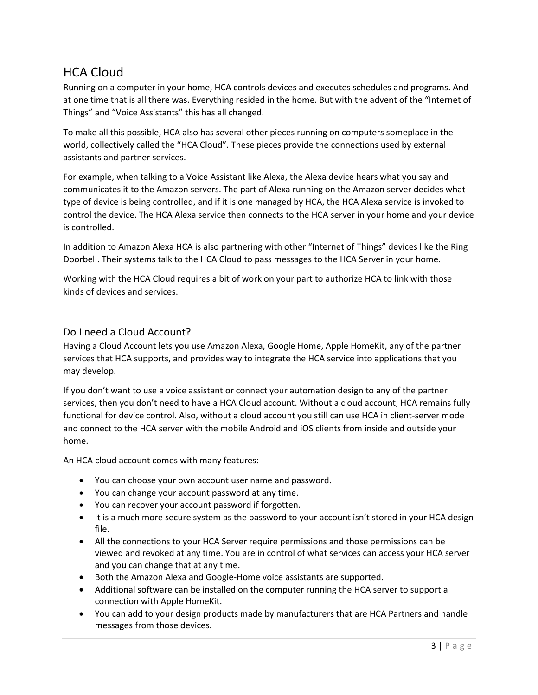# HCA Cloud

Running on a computer in your home, HCA controls devices and executes schedules and programs. And at one time that is all there was. Everything resided in the home. But with the advent of the "Internet of Things" and "Voice Assistants" this has all changed.

To make all this possible, HCA also has several other pieces running on computers someplace in the world, collectively called the "HCA Cloud". These pieces provide the connections used by external assistants and partner services.

For example, when talking to a Voice Assistant like Alexa, the Alexa device hears what you say and communicates it to the Amazon servers. The part of Alexa running on the Amazon server decides what type of device is being controlled, and if it is one managed by HCA, the HCA Alexa service is invoked to control the device. The HCA Alexa service then connects to the HCA server in your home and your device is controlled.

In addition to Amazon Alexa HCA is also partnering with other "Internet of Things" devices like the Ring Doorbell. Their systems talk to the HCA Cloud to pass messages to the HCA Server in your home.

Working with the HCA Cloud requires a bit of work on your part to authorize HCA to link with those kinds of devices and services.

#### Do I need a Cloud Account?

Having a Cloud Account lets you use Amazon Alexa, Google Home, Apple HomeKit, any of the partner services that HCA supports, and provides way to integrate the HCA service into applications that you may develop.

If you don't want to use a voice assistant or connect your automation design to any of the partner services, then you don't need to have a HCA Cloud account. Without a cloud account, HCA remains fully functional for device control. Also, without a cloud account you still can use HCA in client-server mode and connect to the HCA server with the mobile Android and iOS clients from inside and outside your home.

An HCA cloud account comes with many features:

- You can choose your own account user name and password.
- You can change your account password at any time.
- You can recover your account password if forgotten.
- It is a much more secure system as the password to your account isn't stored in your HCA design file.
- All the connections to your HCA Server require permissions and those permissions can be viewed and revoked at any time. You are in control of what services can access your HCA server and you can change that at any time.
- Both the Amazon Alexa and Google-Home voice assistants are supported.
- Additional software can be installed on the computer running the HCA server to support a connection with Apple HomeKit.
- You can add to your design products made by manufacturers that are HCA Partners and handle messages from those devices.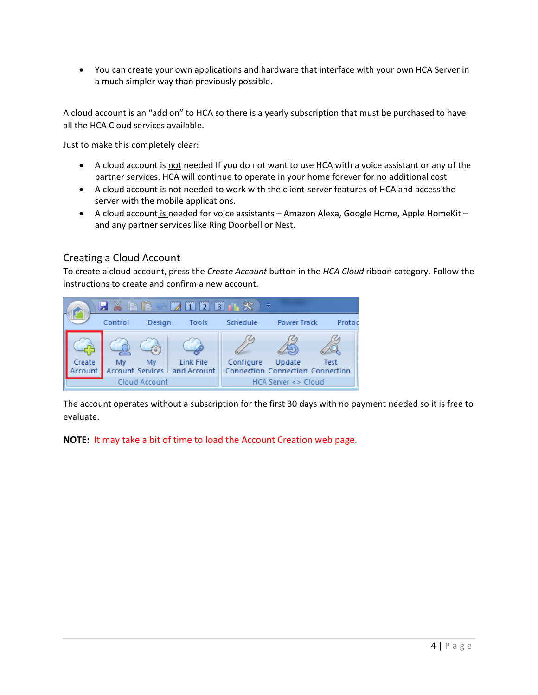• You can create your own applications and hardware that interface with your own HCA Server in a much simpler way than previously possible.

A cloud account is an "add on" to HCA so there is a yearly subscription that must be purchased to have all the HCA Cloud services available.

Just to make this completely clear:

- A cloud account is not needed If you do not want to use HCA with a voice assistant or any of the partner services. HCA will continue to operate in your home forever for no additional cost.
- A cloud account is not needed to work with the client-server features of HCA and access the server with the mobile applications.
- A cloud account is needed for voice assistants Amazon Alexa, Google Home, Apple HomeKit and any partner services like Ring Doorbell or Nest.

#### Creating a Cloud Account

To create a cloud account, press the *Create Account* button in the *HCA Cloud* ribbon category. Follow the instructions to create and confirm a new account.



The account operates without a subscription for the first 30 days with no payment needed so it is free to evaluate.

**NOTE:** It may take a bit of time to load the Account Creation web page.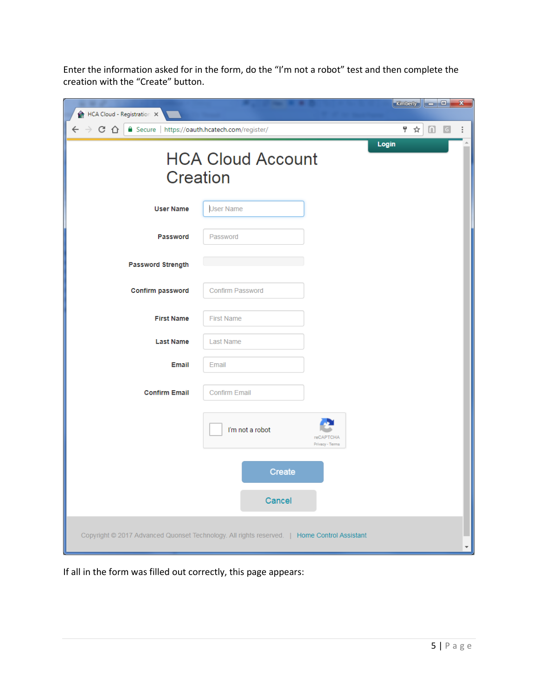Enter the information asked for in the form, do the "I'm not a robot" test and then complete the creation with the "Create" button.

| HCA Cloud - Registration X                                                                  |                                                                                               | Kimberly $\begin{array}{ c c c c c }\n\hline\n\text{Kimberify} & \text{---} & \text{---} & \text{---} \end{array}$ |  |  |  |  |  |  |
|---------------------------------------------------------------------------------------------|-----------------------------------------------------------------------------------------------|--------------------------------------------------------------------------------------------------------------------|--|--|--|--|--|--|
| $\leftarrow$ $\rightarrow$ C $\Omega$                                                       | △ Secure   https://oauth.hcatech.com/register/<br>〒☆ ■<br>$\ddot{\cdot}$<br>$\lceil G \rceil$ |                                                                                                                    |  |  |  |  |  |  |
| <b>HCA Cloud Account</b><br>Creation                                                        | Login                                                                                         |                                                                                                                    |  |  |  |  |  |  |
| <b>User Name</b>                                                                            | <b>User Name</b>                                                                              |                                                                                                                    |  |  |  |  |  |  |
| Password                                                                                    | Password                                                                                      |                                                                                                                    |  |  |  |  |  |  |
| <b>Password Strength</b>                                                                    |                                                                                               |                                                                                                                    |  |  |  |  |  |  |
| <b>Confirm password</b>                                                                     | <b>Confirm Password</b>                                                                       |                                                                                                                    |  |  |  |  |  |  |
| <b>First Name</b>                                                                           | <b>First Name</b>                                                                             |                                                                                                                    |  |  |  |  |  |  |
| <b>Last Name</b>                                                                            | <b>Last Name</b>                                                                              |                                                                                                                    |  |  |  |  |  |  |
| <b>Email</b>                                                                                | Email                                                                                         |                                                                                                                    |  |  |  |  |  |  |
| <b>Confirm Email</b>                                                                        | <b>Confirm Email</b>                                                                          |                                                                                                                    |  |  |  |  |  |  |
|                                                                                             | I'm not a robot                                                                               | <b>reCAPTCHA</b><br>Privacy - Terms                                                                                |  |  |  |  |  |  |
|                                                                                             | <b>Create</b>                                                                                 |                                                                                                                    |  |  |  |  |  |  |
|                                                                                             | Cancel                                                                                        |                                                                                                                    |  |  |  |  |  |  |
| Copyright @ 2017 Advanced Quonset Technology. All rights reserved.   Home Control Assistant |                                                                                               |                                                                                                                    |  |  |  |  |  |  |

If all in the form was filled out correctly, this page appears: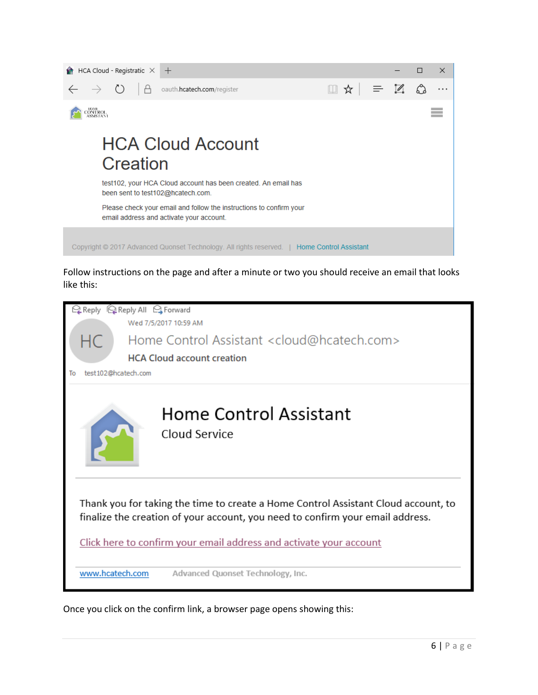

Follow instructions on the page and after a minute or two you should receive an email that looks like this:



Once you click on the confirm link, a browser page opens showing this: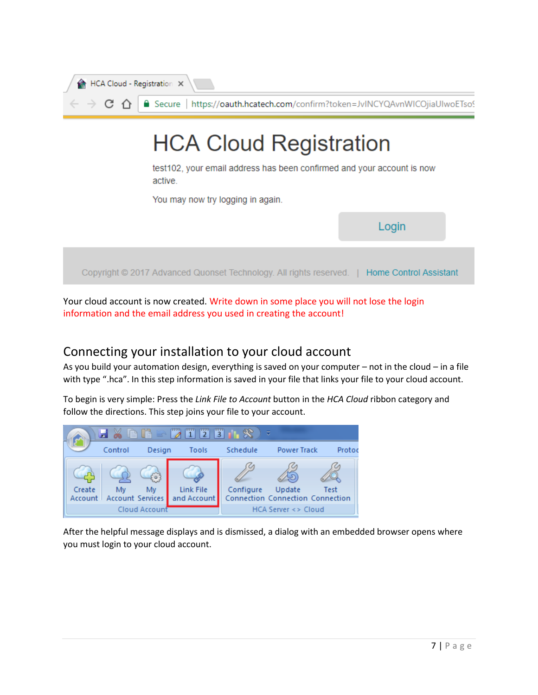| HCA Cloud - Registration X                                                                                                                              |
|---------------------------------------------------------------------------------------------------------------------------------------------------------|
| $\phi \leftrightarrow \mathbf{C} \land \mathbf{C}$ <b>A</b> $\phi$ <b>a</b> Secure   https://oauth.hcatech.com/confirm?token=JvINCYQAvnWICOjiaUIwoETso! |

# **HCA Cloud Registration**

test102, your email address has been confirmed and your account is now active.

You may now try logging in again.



Your cloud account is now created. Write down in some place you will not lose the login information and the email address you used in creating the account!

## Connecting your installation to your cloud account

As you build your automation design, everything is saved on your computer – not in the cloud – in a file with type ".hca". In this step information is saved in your file that links your file to your cloud account.

To begin is very simple: Press the *Link File to Account* button in the *HCA Cloud* ribbon category and follow the directions. This step joins your file to your account.



After the helpful message displays and is dismissed, a dialog with an embedded browser opens where you must login to your cloud account.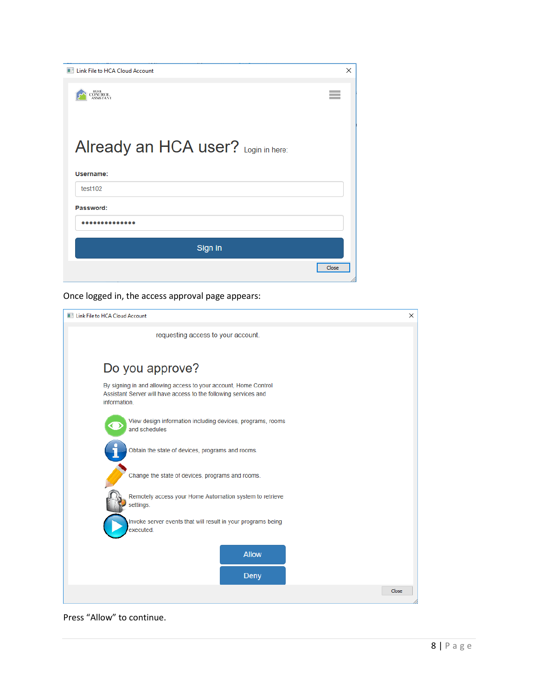| <b>Ell Link File to HCA Cloud Account</b> | $\times$ |
|-------------------------------------------|----------|
| <b>HOME</b><br>CONTROL<br>ASSISTANT       |          |
|                                           |          |
| Already an HCA user? Login in here:       |          |
| Username:                                 |          |
|                                           |          |
| test102                                   |          |
| Password:                                 |          |
|                                           |          |
| Sign in                                   |          |

Once logged in, the access approval page appears:

| <b>Ellional Link File to HCA Cloud Account</b>                                                                                                     | $\times$ |
|----------------------------------------------------------------------------------------------------------------------------------------------------|----------|
| requesting access to your account.                                                                                                                 |          |
| Do you approve?                                                                                                                                    |          |
| By signing in and allowing access to your account, Home Control<br>Assistant Server will have access to the following services and<br>information. |          |
| View design information including devices, programs, rooms<br>and schedules                                                                        |          |
| Obtain the state of devices, programs and rooms.                                                                                                   |          |
| Change the state of devices, programs and rooms.                                                                                                   |          |
| Remotely access your Home Automation system to retrieve<br>settings.                                                                               |          |
| Invoke server events that will result in your programs being<br>executed.                                                                          |          |
| <b>Allow</b>                                                                                                                                       |          |
| <b>Deny</b>                                                                                                                                        |          |
| Close                                                                                                                                              |          |

Press "Allow" to continue.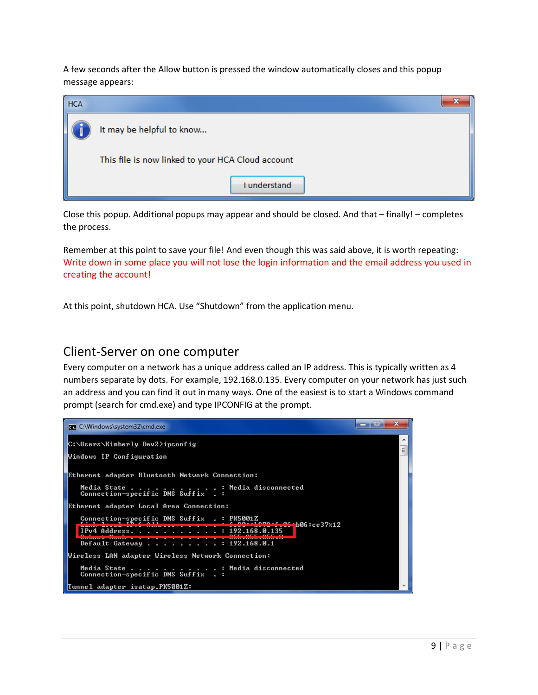A few seconds after the Allow button is pressed the window automatically closes and this popup message appears:

| <b>HCA</b> |                                                   |  |
|------------|---------------------------------------------------|--|
|            | It may be helpful to know                         |  |
|            | This file is now linked to your HCA Cloud account |  |
|            | I understand                                      |  |

Close this popup. Additional popups may appear and should be closed. And that – finally! – completes the process.

Remember at this point to save your file! And even though this was said above, it is worth repeating: Write down in some place you will not lose the login information and the email address you used in creating the account!

At this point, shutdown HCA. Use "Shutdown" from the application menu.

### Client-Server on one computer

Every computer on a network has a unique address called an IP address. This is typically written as 4 numbers separate by dots. For example, 192.168.0.135. Every computer on your network has just such an address and you can find it out in many ways. One of the easiest is to start a Windows command prompt (search for cmd.exe) and type IPCONFIG at the prompt.

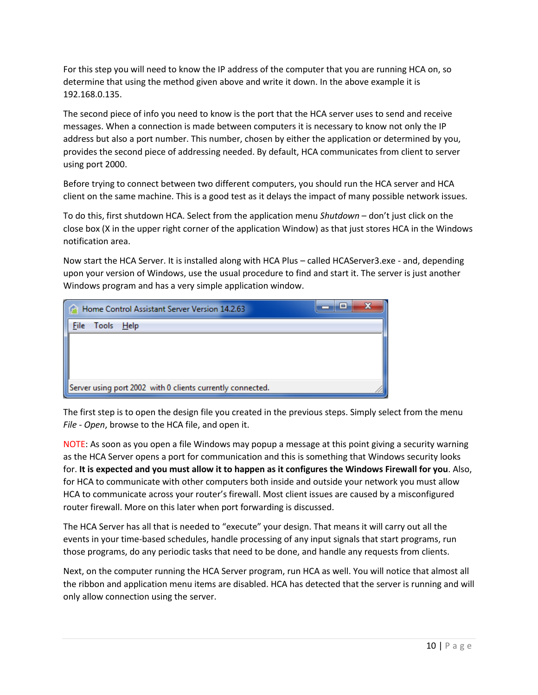For this step you will need to know the IP address of the computer that you are running HCA on, so determine that using the method given above and write it down. In the above example it is 192.168.0.135.

The second piece of info you need to know is the port that the HCA server uses to send and receive messages. When a connection is made between computers it is necessary to know not only the IP address but also a port number. This number, chosen by either the application or determined by you, provides the second piece of addressing needed. By default, HCA communicates from client to server using port 2000.

Before trying to connect between two different computers, you should run the HCA server and HCA client on the same machine. This is a good test as it delays the impact of many possible network issues.

To do this, first shutdown HCA. Select from the application menu *Shutdown* – don't just click on the close box (X in the upper right corner of the application Window) as that just stores HCA in the Windows notification area.

Now start the HCA Server. It is installed along with HCA Plus – called HCAServer3.exe - and, depending upon your version of Windows, use the usual procedure to find and start it. The server is just another Windows program and has a very simple application window.

| Home Control Assistant Server Version 14.2.63              | $\equiv$ |
|------------------------------------------------------------|----------|
| File Tools Help                                            |          |
|                                                            |          |
|                                                            |          |
|                                                            |          |
| Server using port 2002 with 0 clients currently connected. |          |

The first step is to open the design file you created in the previous steps. Simply select from the menu *File - Open*, browse to the HCA file, and open it.

NOTE: As soon as you open a file Windows may popup a message at this point giving a security warning as the HCA Server opens a port for communication and this is something that Windows security looks for. **It is expected and you must allow it to happen as it configures the Windows Firewall for you**. Also, for HCA to communicate with other computers both inside and outside your network you must allow HCA to communicate across your router's firewall. Most client issues are caused by a misconfigured router firewall. More on this later when port forwarding is discussed.

The HCA Server has all that is needed to "execute" your design. That means it will carry out all the events in your time-based schedules, handle processing of any input signals that start programs, run those programs, do any periodic tasks that need to be done, and handle any requests from clients.

Next, on the computer running the HCA Server program, run HCA as well. You will notice that almost all the ribbon and application menu items are disabled. HCA has detected that the server is running and will only allow connection using the server.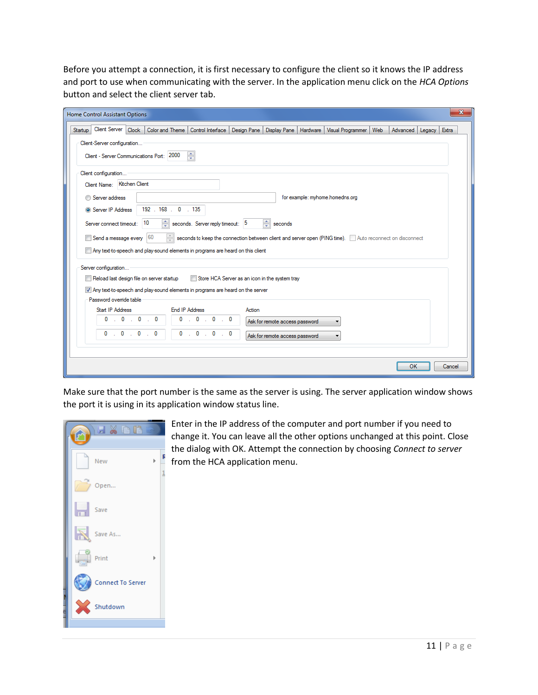Before you attempt a connection, it is first necessary to configure the client so it knows the IP address and port to use when communicating with the server. In the application menu click on the *HCA Options* button and select the client server tab.

| Home Control Assistant Options                                                   |                                                |                                                                                                         |        |                                |  |                                 |  |                   | $\mathbf{x}$ |
|----------------------------------------------------------------------------------|------------------------------------------------|---------------------------------------------------------------------------------------------------------|--------|--------------------------------|--|---------------------------------|--|-------------------|--------------|
| Client Server Clock<br>Startup                                                   |                                                | Color and Theme   Control Interface   Design Pane   Display Pane   Hardware   Visual Programmer   Web   |        |                                |  |                                 |  | Advanced   Legacy | Extra        |
| Client-Server configuration                                                      |                                                |                                                                                                         |        |                                |  |                                 |  |                   |              |
|                                                                                  | ÷<br>Client - Server Communications Port: 2000 |                                                                                                         |        |                                |  |                                 |  |                   |              |
| Client configuration                                                             |                                                |                                                                                                         |        |                                |  |                                 |  |                   |              |
| Client Name: Kitchen Client                                                      |                                                |                                                                                                         |        |                                |  |                                 |  |                   |              |
| Server address                                                                   |                                                |                                                                                                         |        |                                |  | for example: myhome.homedns.org |  |                   |              |
| Server IP Address                                                                | 192 . 168 . 0 . 135                            |                                                                                                         |        |                                |  |                                 |  |                   |              |
| Server connect timeout:                                                          | 10                                             | seconds. Server reply timeout: 5                                                                        |        | $\Rightarrow$ seconds          |  |                                 |  |                   |              |
| $\,$ Send a message every $\,$ $\,$ $\,60$                                       | $\frac{1}{x}$                                  | seconds to keep the connection between client and server open (PING time). Auto reconnect on disconnect |        |                                |  |                                 |  |                   |              |
| Any text to-speech and play-sound elements in programs are heard on this client  |                                                |                                                                                                         |        |                                |  |                                 |  |                   |              |
|                                                                                  |                                                |                                                                                                         |        |                                |  |                                 |  |                   |              |
| Server configuration<br>Reload last design file on server startup                |                                                | Store HCA Server as an icon in the system tray                                                          |        |                                |  |                                 |  |                   |              |
| V Any text to speech and play-sound elements in programs are heard on the server |                                                |                                                                                                         |        |                                |  |                                 |  |                   |              |
| Password override table                                                          |                                                |                                                                                                         |        |                                |  |                                 |  |                   |              |
| Start IP Address                                                                 |                                                | <b>End IP Address</b>                                                                                   | Action |                                |  |                                 |  |                   |              |
| 0.0000<br>0                                                                      | 0                                              | $\sim 0$<br>0<br>$\sim$ 0<br><b>A</b>                                                                   |        | Ask for remote access password |  |                                 |  |                   |              |
| $\cdot$ 0 $\cdot$ 0<br>$\mathbf{0}$                                              | 0<br>0<br>$\sim$                               | $\sim$ 0<br>$\mathbf 0$<br>$\cdot$ 0                                                                    |        | Ask for remote access password |  | ۰.                              |  |                   |              |
|                                                                                  |                                                |                                                                                                         |        |                                |  |                                 |  |                   |              |
|                                                                                  |                                                |                                                                                                         |        |                                |  |                                 |  |                   |              |
|                                                                                  |                                                |                                                                                                         |        |                                |  |                                 |  | OK                | Cancel       |

Make sure that the port number is the same as the server is using. The server application window shows the port it is using in its application window status line.

|        | 日常事事              |  |
|--------|-------------------|--|
|        | New               |  |
|        | Open              |  |
|        | Save              |  |
| K      | Save As           |  |
|        | Print             |  |
|        | Connect To Server |  |
| $\chi$ | Shutdown          |  |

Enter in the IP address of the computer and port number if you need to change it. You can leave all the other options unchanged at this point. Close the dialog with OK. Attempt the connection by choosing *Connect to server* from the HCA application menu.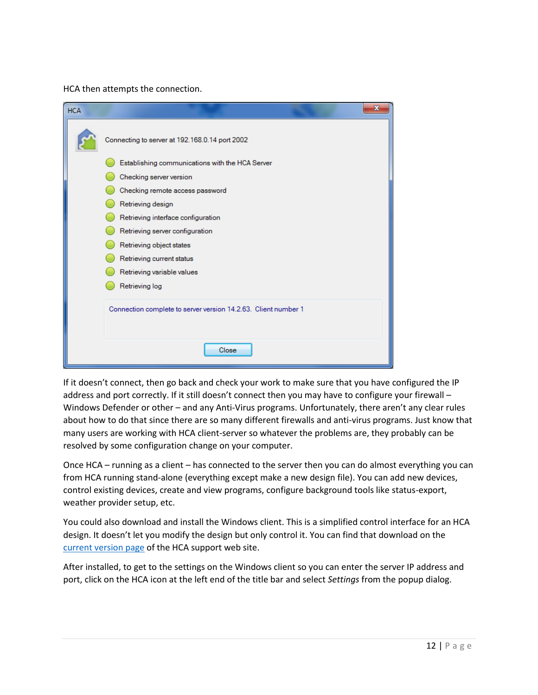HCA then attempts the connection.

| <b>HCA</b> | X                                                              |
|------------|----------------------------------------------------------------|
|            | Connecting to server at 192.168.0.14 port 2002                 |
|            | Establishing communications with the HCA Server                |
|            | Checking server version                                        |
|            | Checking remote access password                                |
|            | Retrieving design                                              |
|            | Retrieving interface configuration                             |
|            | Retrieving server configuration                                |
|            | Retrieving object states                                       |
|            | Retrieving current status                                      |
|            | Retrieving variable values                                     |
|            | Retrieving log                                                 |
|            | Connection complete to server version 14.2.63. Client number 1 |
|            | Close                                                          |

If it doesn't connect, then go back and check your work to make sure that you have configured the IP address and port correctly. If it still doesn't connect then you may have to configure your firewall -Windows Defender or other – and any Anti-Virus programs. Unfortunately, there aren't any clear rules about how to do that since there are so many different firewalls and anti-virus programs. Just know that many users are working with HCA client-server so whatever the problems are, they probably can be resolved by some configuration change on your computer.

Once HCA – running as a client – has connected to the server then you can do almost everything you can from HCA running stand-alone (everything except make a new design file). You can add new devices, control existing devices, create and view programs, configure background tools like status-export, weather provider setup, etc.

You could also download and install the Windows client. This is a simplified control interface for an HCA design. It doesn't let you modify the design but only control it. You can find that download on the [current version page](https://www.homecontrolassistant.com/current.html) of the HCA support web site.

After installed, to get to the settings on the Windows client so you can enter the server IP address and port, click on the HCA icon at the left end of the title bar and select *Settings* from the popup dialog.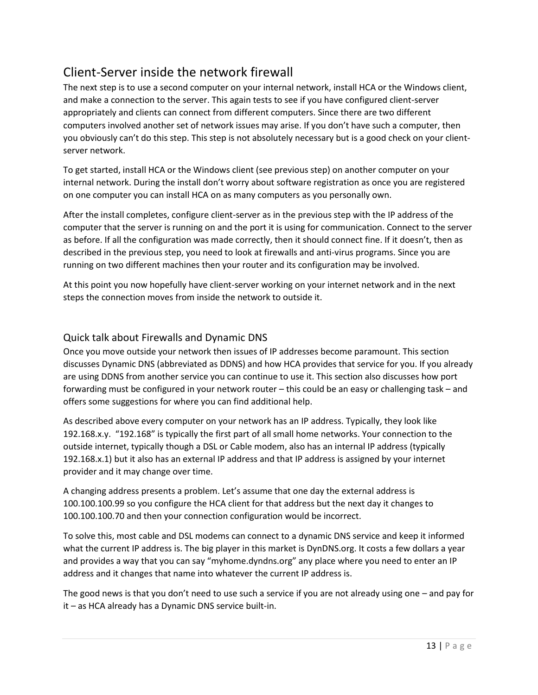# Client-Server inside the network firewall

The next step is to use a second computer on your internal network, install HCA or the Windows client, and make a connection to the server. This again tests to see if you have configured client-server appropriately and clients can connect from different computers. Since there are two different computers involved another set of network issues may arise. If you don't have such a computer, then you obviously can't do this step. This step is not absolutely necessary but is a good check on your clientserver network.

To get started, install HCA or the Windows client (see previous step) on another computer on your internal network. During the install don't worry about software registration as once you are registered on one computer you can install HCA on as many computers as you personally own.

After the install completes, configure client-server as in the previous step with the IP address of the computer that the server is running on and the port it is using for communication. Connect to the server as before. If all the configuration was made correctly, then it should connect fine. If it doesn't, then as described in the previous step, you need to look at firewalls and anti-virus programs. Since you are running on two different machines then your router and its configuration may be involved.

At this point you now hopefully have client-server working on your internet network and in the next steps the connection moves from inside the network to outside it.

#### Quick talk about Firewalls and Dynamic DNS

Once you move outside your network then issues of IP addresses become paramount. This section discusses Dynamic DNS (abbreviated as DDNS) and how HCA provides that service for you. If you already are using DDNS from another service you can continue to use it. This section also discusses how port forwarding must be configured in your network router – this could be an easy or challenging task – and offers some suggestions for where you can find additional help.

As described above every computer on your network has an IP address. Typically, they look like 192.168.x.y. "192.168" is typically the first part of all small home networks. Your connection to the outside internet, typically though a DSL or Cable modem, also has an internal IP address (typically 192.168.x.1) but it also has an external IP address and that IP address is assigned by your internet provider and it may change over time.

A changing address presents a problem. Let's assume that one day the external address is 100.100.100.99 so you configure the HCA client for that address but the next day it changes to 100.100.100.70 and then your connection configuration would be incorrect.

To solve this, most cable and DSL modems can connect to a dynamic DNS service and keep it informed what the current IP address is. The big player in this market is DynDNS.org. It costs a few dollars a year and provides a way that you can say "myhome.dyndns.org" any place where you need to enter an IP address and it changes that name into whatever the current IP address is.

The good news is that you don't need to use such a service if you are not already using one – and pay for it – as HCA already has a Dynamic DNS service built-in.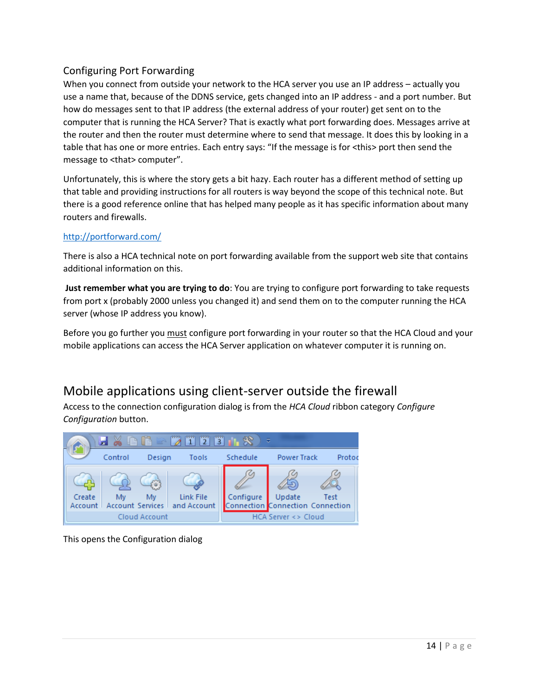#### Configuring Port Forwarding

When you connect from outside your network to the HCA server you use an IP address – actually you use a name that, because of the DDNS service, gets changed into an IP address - and a port number. But how do messages sent to that IP address (the external address of your router) get sent on to the computer that is running the HCA Server? That is exactly what port forwarding does. Messages arrive at the router and then the router must determine where to send that message. It does this by looking in a table that has one or more entries. Each entry says: "If the message is for <this> port then send the message to <that> computer".

Unfortunately, this is where the story gets a bit hazy. Each router has a different method of setting up that table and providing instructions for all routers is way beyond the scope of this technical note. But there is a good reference online that has helped many people as it has specific information about many routers and firewalls.

#### <http://portforward.com/>

There is also a HCA technical note on port forwarding available from the support web site that contains additional information on this.

**Just remember what you are trying to do**: You are trying to configure port forwarding to take requests from port x (probably 2000 unless you changed it) and send them on to the computer running the HCA server (whose IP address you know).

Before you go further you must configure port forwarding in your router so that the HCA Cloud and your mobile applications can access the HCA Server application on whatever computer it is running on.

## Mobile applications using client-server outside the firewall

Access to the connection configuration dialog is from the *HCA Cloud* ribbon category *Configure Configuration* button.



This opens the Configuration dialog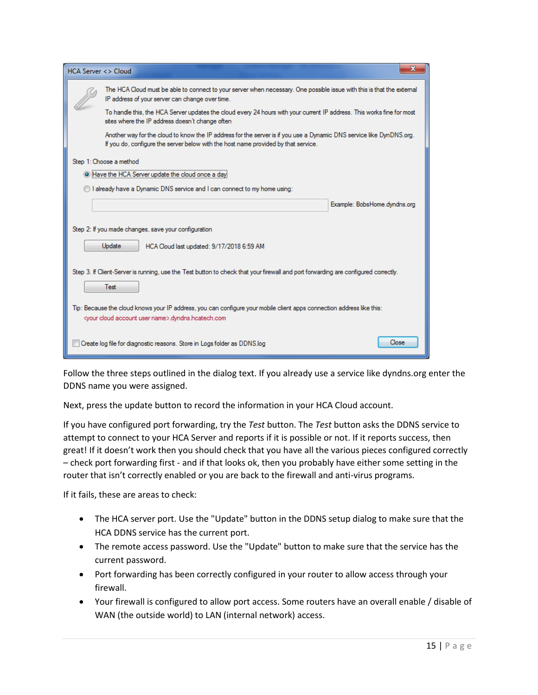| <b>HCA Server &lt;&gt; Cloud</b>                                                                                                                                                              |                                                                                                                                                                                                            |                              | х |  |
|-----------------------------------------------------------------------------------------------------------------------------------------------------------------------------------------------|------------------------------------------------------------------------------------------------------------------------------------------------------------------------------------------------------------|------------------------------|---|--|
|                                                                                                                                                                                               | The HCA Cloud must be able to connect to your server when necessary. One possible issue with this is that the extemal<br>IP address of your server can change over time.                                   |                              |   |  |
|                                                                                                                                                                                               | To handle this, the HCA Server updates the cloud every 24 hours with your current IP address. This works fine for most<br>sites where the IP address doesn't change often                                  |                              |   |  |
|                                                                                                                                                                                               | Another way for the cloud to know the IP address for the server is if you use a Dynamic DNS service like DynDNS.org.<br>If you do, configure the server below with the host name provided by that service. |                              |   |  |
|                                                                                                                                                                                               | Step 1: Choose a method                                                                                                                                                                                    |                              |   |  |
|                                                                                                                                                                                               | If Have the HCA Server update the cloud once a day                                                                                                                                                         |                              |   |  |
|                                                                                                                                                                                               | I already have a Dynamic DNS service and I can connect to my home using:                                                                                                                                   |                              |   |  |
|                                                                                                                                                                                               |                                                                                                                                                                                                            | Example: BobsHome.dyndns.org |   |  |
|                                                                                                                                                                                               | Step 2: If you made changes, save your configuration                                                                                                                                                       |                              |   |  |
|                                                                                                                                                                                               | <b>Update</b><br>HCA Cloud last updated: 9/17/2018 6:59 AM                                                                                                                                                 |                              |   |  |
|                                                                                                                                                                                               | Step 3. If Client-Server is running, use the Test button to check that your firewall and port forwarding are configured correctly.<br>Test                                                                 |                              |   |  |
| Tip: Because the cloud knows your IP address, you can configure your mobile client apps connection address like this:<br><your account="" cloud="" name="" user="">.dyndns.hcatech.com</your> |                                                                                                                                                                                                            |                              |   |  |
|                                                                                                                                                                                               | Create log file for diagnostic reasons. Store in Logs folder as DDNS.log                                                                                                                                   | Close                        |   |  |

Follow the three steps outlined in the dialog text. If you already use a service like dyndns.org enter the DDNS name you were assigned.

Next, press the update button to record the information in your HCA Cloud account.

If you have configured port forwarding, try the *Test* button. The *Test* button asks the DDNS service to attempt to connect to your HCA Server and reports if it is possible or not. If it reports success, then great! If it doesn't work then you should check that you have all the various pieces configured correctly – check port forwarding first - and if that looks ok, then you probably have either some setting in the router that isn't correctly enabled or you are back to the firewall and anti-virus programs.

If it fails, these are areas to check:

- The HCA server port. Use the "Update" button in the DDNS setup dialog to make sure that the HCA DDNS service has the current port.
- The remote access password. Use the "Update" button to make sure that the service has the current password.
- Port forwarding has been correctly configured in your router to allow access through your firewall.
- Your firewall is configured to allow port access. Some routers have an overall enable / disable of WAN (the outside world) to LAN (internal network) access.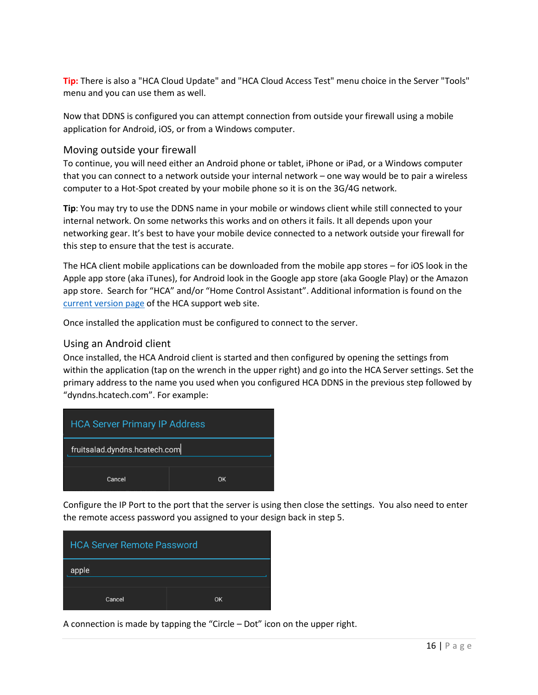**Tip:** There is also a "HCA Cloud Update" and "HCA Cloud Access Test" menu choice in the Server "Tools" menu and you can use them as well.

Now that DDNS is configured you can attempt connection from outside your firewall using a mobile application for Android, iOS, or from a Windows computer.

#### Moving outside your firewall

To continue, you will need either an Android phone or tablet, iPhone or iPad, or a Windows computer that you can connect to a network outside your internal network – one way would be to pair a wireless computer to a Hot-Spot created by your mobile phone so it is on the 3G/4G network.

**Tip**: You may try to use the DDNS name in your mobile or windows client while still connected to your internal network. On some networks this works and on others it fails. It all depends upon your networking gear. It's best to have your mobile device connected to a network outside your firewall for this step to ensure that the test is accurate.

The HCA client mobile applications can be downloaded from the mobile app stores – for iOS look in the Apple app store (aka iTunes), for Android look in the Google app store (aka Google Play) or the Amazon app store. Search for "HCA" and/or "Home Control Assistant". Additional information is found on the [current version page](https://www.homecontrolassistant.com/current.html) of the HCA support web site.

Once installed the application must be configured to connect to the server.

#### Using an Android client

Once installed, the HCA Android client is started and then configured by opening the settings from within the application (tap on the wrench in the upper right) and go into the HCA Server settings. Set the primary address to the name you used when you configured HCA DDNS in the previous step followed by "dyndns.hcatech.com". For example:



Configure the IP Port to the port that the server is using then close the settings. You also need to enter the remote access password you assigned to your design back in step 5.



A connection is made by tapping the "Circle – Dot" icon on the upper right.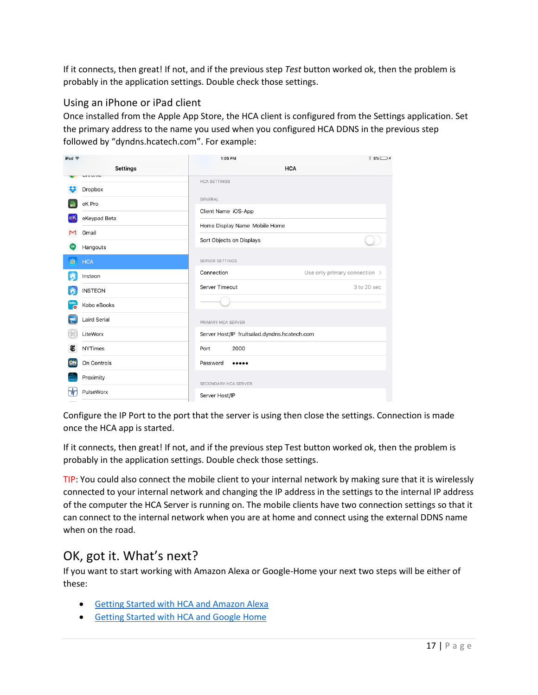If it connects, then great! If not, and if the previous step *Test* button worked ok, then the problem is probably in the application settings. Double check those settings.

#### Using an iPhone or iPad client

Once installed from the Apple App Store, the HCA client is configured from the Settings application. Set the primary address to the name you used when you configured HCA DDNS in the previous step followed by "dyndns.hcatech.com". For example:

| iPad 令                     | 1:05 PM                                      | $$5\%$ $+$                    |
|----------------------------|----------------------------------------------|-------------------------------|
| <b>Settings</b>            |                                              | <b>HCA</b>                    |
| טוווטוווט<br>Dropbox       | <b>HCA SETTINGS</b>                          |                               |
| eK Pro                     | <b>GENERAL</b>                               |                               |
| eKeypad Beta<br>eK         | Client Name iOS-App                          |                               |
| Gmail<br>М                 | Home Display Name Mobile Home                |                               |
| ω<br>Hangouts              | Sort Objects on Displays                     |                               |
| 商<br><b>HCA</b>            | <b>SERVER SETTINGS</b>                       |                               |
| Insteon                    | Connection                                   | Use only primary connection > |
| <b>INSTEON</b>             | Server Timeout                               | 3 to 20 sec                   |
| kobo<br>Kobo eBooks<br>- o |                                              |                               |
| Laird Serial               | PRIMARY HCA SERVER                           |                               |
| LiteWorx                   | Server Host/IP fruitsalad.dyndns.hcatech.com |                               |
| Œ<br><b>NYTimes</b>        | 2000<br>Port                                 |                               |
| On Controls<br><u>ION</u>  | Password<br>                                 |                               |
| Proximity                  | SECONDARY HCA SERVER                         |                               |
| PulseWorx                  | Server Host/IP                               |                               |

Configure the IP Port to the port that the server is using then close the settings. Connection is made once the HCA app is started.

If it connects, then great! If not, and if the previous step Test button worked ok, then the problem is probably in the application settings. Double check those settings.

TIP: You could also connect the mobile client to your internal network by making sure that it is wirelessly connected to your internal network and changing the IP address in the settings to the internal IP address of the computer the HCA Server is running on. The mobile clients have two connection settings so that it can connect to the internal network when you are at home and connect using the external DDNS name when on the road.

## OK, got it. What's next?

If you want to start working with Amazon Alexa or Google-Home your next two steps will be either of these:

- [Getting Started with HCA and Amazon Alexa](https://www.homecontrolassistant.com/download/V15/Doc/GettingStarted/Getting%20Started%20with%20HCA%20-%20Amazon%20Alexa.pdf)
- [Getting Started with HCA and Google Home](https://www.homecontrolassistant.com/download/V15/Doc/GettingStarted/Getting%20Started%20with%20HCA%20-%20Google%20Assistant.pdf)